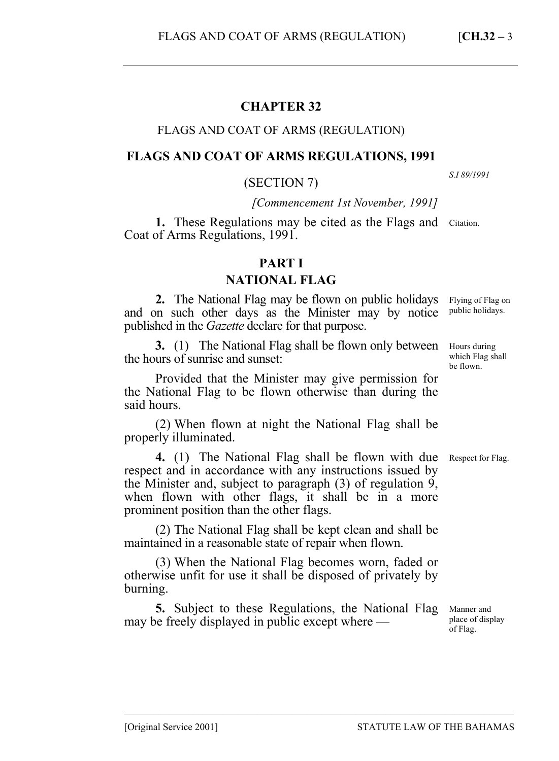# **CHAPTER 32**

# FLAGS AND COAT OF ARMS (REGULATION)

# **FLAGS AND COAT OF ARMS REGULATIONS, 1991**

# (SECTION 7)

*[Commencement 1st November, 1991]*

1. These Regulations may be cited as the Flags and Citation. Coat of Arms Regulations, 1991.

# **PART I**

# **NATIONAL FLAG**

**2.** The National Flag may be flown on public holidays and on such other days as the Minister may by notice published in the *Gazette* declare for that purpose.

**3.** (1) The National Flag shall be flown only between the hours of sunrise and sunset:

Provided that the Minister may give permission for the National Flag to be flown otherwise than during the said hours.

(2) When flown at night the National Flag shall be properly illuminated.

4. (1) The National Flag shall be flown with due Respect for Flag. respect and in accordance with any instructions issued by the Minister and, subject to paragraph (3) of regulation 9, when flown with other flags, it shall be in a more prominent position than the other flags.

(2) The National Flag shall be kept clean and shall be maintained in a reasonable state of repair when flown.

(3) When the National Flag becomes worn, faded or otherwise unfit for use it shall be disposed of privately by burning.

**5.** Subject to these Regulations, the National Flag may be freely displayed in public except where —

–––––––––––––––––––––––––––––––––––––––––––––––––––––––––––––––––––––––––––––––

Flying of Flag on public holidays.

*S.I 89/1991* 

Hours during which Flag shall be flown.

Manner and place of display of Flag.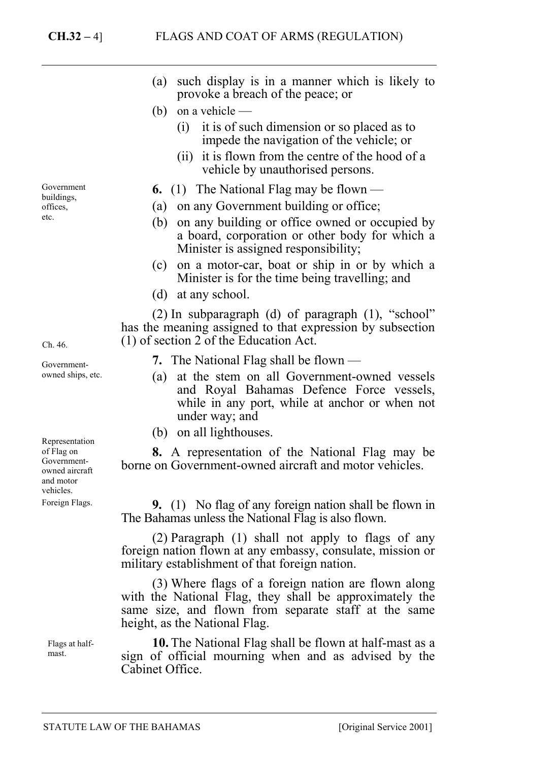- (a) such display is in a manner which is likely to provoke a breach of the peace; or
- (b) on a vehicle
	- (i) it is of such dimension or so placed as to impede the navigation of the vehicle; or
	- (ii) it is flown from the centre of the hood of a vehicle by unauthorised persons.
- **6.** (1) The National Flag may be flown —
- (a) on any Government building or office;
- (b) on any building or office owned or occupied by a board, corporation or other body for which a Minister is assigned responsibility;
- (c) on a motor-car, boat or ship in or by which a Minister is for the time being travelling; and
- (d) at any school.

(2) In subparagraph (d) of paragraph (1), "school" has the meaning assigned to that expression by subsection (1) of section 2 of the Education Act.

- **7.** The National Flag shall be flown —
- (a) at the stem on all Government-owned vessels and Royal Bahamas Defence Force vessels, while in any port, while at anchor or when not under way; and
- (b) on all lighthouses.

**8.** A representation of the National Flag may be borne on Government-owned aircraft and motor vehicles.

**9.** (1) No flag of any foreign nation shall be flown in The Bahamas unless the National Flag is also flown.

(2) Paragraph (1) shall not apply to flags of any foreign nation flown at any embassy, consulate, mission or military establishment of that foreign nation.

(3) Where flags of a foreign nation are flown along with the National Flag, they shall be approximately the same size, and flown from separate staff at the same height, as the National Flag.

**10.** The National Flag shall be flown at half-mast as a sign of official mourning when and as advised by the Cabinet Office.

Government buildings, offices, etc.

Ch. 46.

Governmentowned ships, etc.

Representation of Flag on Governmentowned aircraft and motor vehicles.

Foreign Flags.

Flags at halfmast.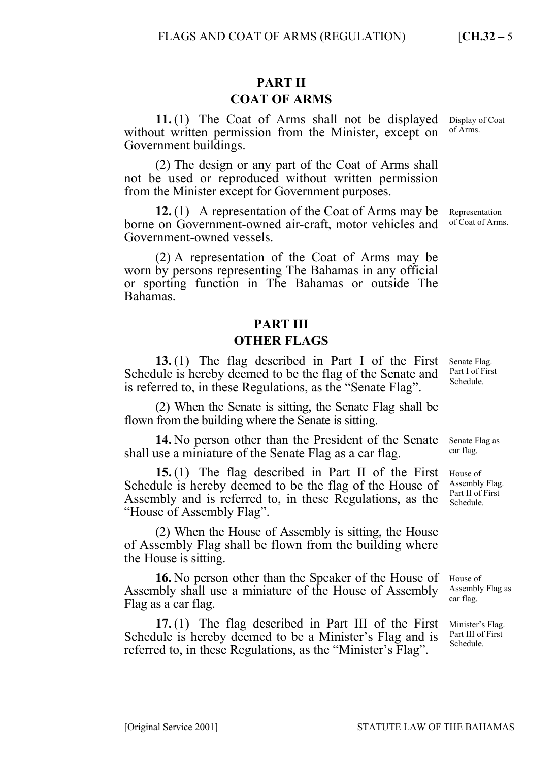# **PART II COAT OF ARMS**

**11.** (1) The Coat of Arms shall not be displayed without written permission from the Minister, except on Government buildings. Display of Coat of Arms.

(2) The design or any part of the Coat of Arms shall not be used or reproduced without written permission from the Minister except for Government purposes.

**12.** (1) A representation of the Coat of Arms may be borne on Government-owned air-craft, motor vehicles and Government-owned vessels.

(2) A representation of the Coat of Arms may be worn by persons representing The Bahamas in any official or sporting function in The Bahamas or outside The Bahamas.

# **PART III**

# **OTHER FLAGS**

**13.** (1) The flag described in Part I of the First Schedule is hereby deemed to be the flag of the Senate and is referred to, in these Regulations, as the "Senate Flag".

(2) When the Senate is sitting, the Senate Flag shall be flown from the building where the Senate is sitting.

**14.** No person other than the President of the Senate shall use a miniature of the Senate Flag as a car flag.

**15.** (1) The flag described in Part II of the First Schedule is hereby deemed to be the flag of the House of Assembly and is referred to, in these Regulations, as the schedule. "House of Assembly Flag".

(2) When the House of Assembly is sitting, the House of Assembly Flag shall be flown from the building where the House is sitting.

**16.** No person other than the Speaker of the House of Assembly shall use a miniature of the House of Assembly Flag as a car flag.

**17.** (1) The flag described in Part III of the First Schedule is hereby deemed to be a Minister's Flag and is referred to, in these Regulations, as the "Minister's Flag".

Senate Flag. Part I of First Schedule.

Senate Flag as car flag.

House of Assembly Flag. Part II of First

House of Assembly Flag as car flag.

Minister's Flag. Part III of First Schedule.

––––––––––––––––––––––––––––––––––––––––––––––––––––––––––––––––––––––––––––––– [Original Service 2001] STATUTE LAW OF THE BAHAMAS

Representation of Coat of Arms.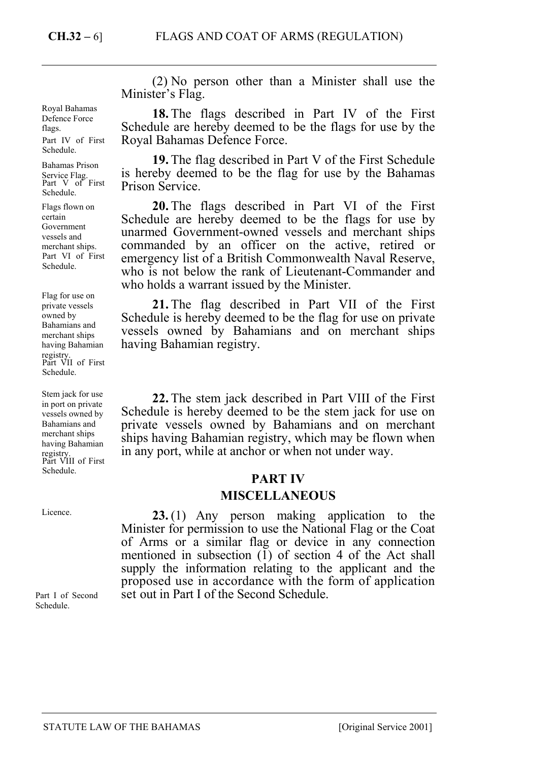Royal Bahamas Defence Force flags. Part IV of First Schedule.

Bahamas Prison Service Flag. Part V of First Schedule.

Flags flown on certain Government vessels and merchant ships. Part VI of First Schedule.

registry.<br>Part VII of First Schedule. Flag for use on private vessels owned by Bahamians and merchant ships having Bahamian

Stem jack for use in port on private vessels owned by Bahamians and merchant ships having Bahamian registry. Part VIII of First Schedule.

Licence.

Part I of Second Schedule.

(2) No person other than a Minister shall use the Minister's Flag.

**18.** The flags described in Part IV of the First Schedule are hereby deemed to be the flags for use by the Royal Bahamas Defence Force.

**19.** The flag described in Part V of the First Schedule is hereby deemed to be the flag for use by the Bahamas Prison Service.

**20.** The flags described in Part VI of the First Schedule are hereby deemed to be the flags for use by unarmed Government-owned vessels and merchant ships commanded by an officer on the active, retired or emergency list of a British Commonwealth Naval Reserve, who is not below the rank of Lieutenant-Commander and who holds a warrant issued by the Minister.

**21.** The flag described in Part VII of the First Schedule is hereby deemed to be the flag for use on private vessels owned by Bahamians and on merchant ships having Bahamian registry.

**22.** The stem jack described in Part VIII of the First Schedule is hereby deemed to be the stem jack for use on private vessels owned by Bahamians and on merchant ships having Bahamian registry, which may be flown when in any port, while at anchor or when not under way.

# **PART IV**

# **MISCELLANEOUS**

**23.** (1) Any person making application to the Minister for permission to use the National Flag or the Coat of Arms or a similar flag or device in any connection mentioned in subsection  $(1)$  of section 4 of the Act shall supply the information relating to the applicant and the proposed use in accordance with the form of application set out in Part I of the Second Schedule.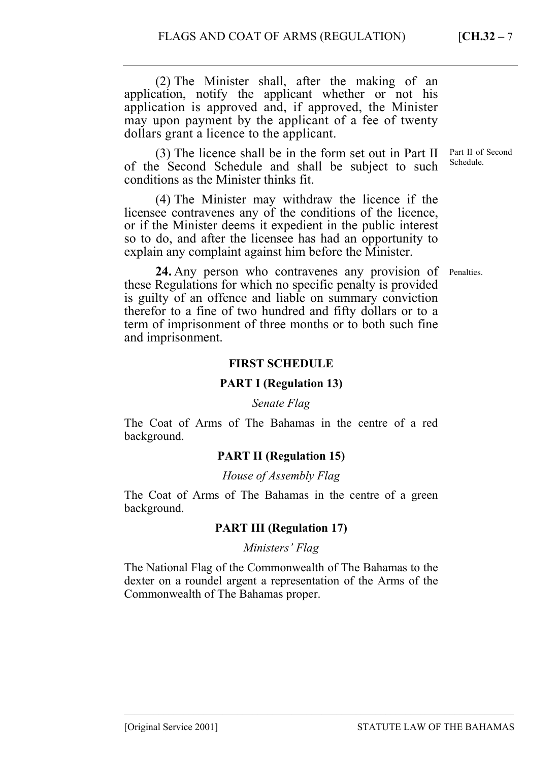(2) The Minister shall, after the making of an application, notify the applicant whether or not his application is approved and, if approved, the Minister may upon payment by the applicant of a fee of twenty dollars grant a licence to the applicant.

(3) The licence shall be in the form set out in Part II of the Second Schedule and shall be subject to such conditions as the Minister thinks fit.

(4) The Minister may withdraw the licence if the licensee contravenes any of the conditions of the licence, or if the Minister deems it expedient in the public interest so to do, and after the licensee has had an opportunity to explain any complaint against him before the Minister.

24. Any person who contravenes any provision of Penalties. these Regulations for which no specific penalty is provided is guilty of an offence and liable on summary conviction therefor to a fine of two hundred and fifty dollars or to a term of imprisonment of three months or to both such fine and imprisonment.

### **FIRST SCHEDULE**

# **PART I (Regulation 13)**

#### *Senate Flag*

The Coat of Arms of The Bahamas in the centre of a red background.

# **PART II (Regulation 15)**

#### *House of Assembly Flag*

The Coat of Arms of The Bahamas in the centre of a green background.

# **PART III (Regulation 17)**

#### *Ministers' Flag*

The National Flag of the Commonwealth of The Bahamas to the dexter on a roundel argent a representation of the Arms of the Commonwealth of The Bahamas proper.

Part II of Second Schedule.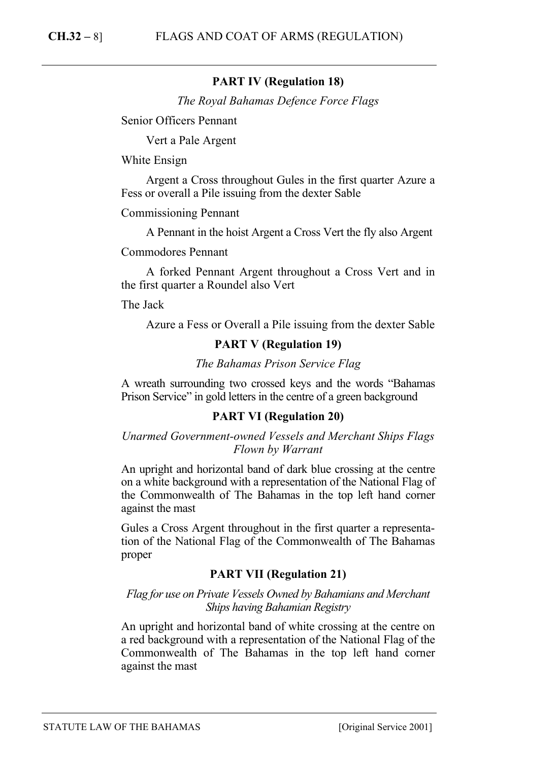# **PART IV (Regulation 18)**

*The Royal Bahamas Defence Force Flags*

Senior Officers Pennant

Vert a Pale Argent

White Ensign

Argent a Cross throughout Gules in the first quarter Azure a Fess or overall a Pile issuing from the dexter Sable

Commissioning Pennant

A Pennant in the hoist Argent a Cross Vert the fly also Argent

### Commodores Pennant

A forked Pennant Argent throughout a Cross Vert and in the first quarter a Roundel also Vert

The Jack

Azure a Fess or Overall a Pile issuing from the dexter Sable

# **PART V (Regulation 19)**

#### *The Bahamas Prison Service Flag*

A wreath surrounding two crossed keys and the words "Bahamas Prison Service" in gold letters in the centre of a green background

# **PART VI (Regulation 20)**

*Unarmed Government-owned Vessels and Merchant Ships Flags Flown by Warrant* 

An upright and horizontal band of dark blue crossing at the centre on a white background with a representation of the National Flag of the Commonwealth of The Bahamas in the top left hand corner against the mast

Gules a Cross Argent throughout in the first quarter a representation of the National Flag of the Commonwealth of The Bahamas proper

# **PART VII (Regulation 21)**

*Flag for use on Private Vessels Owned by Bahamians and Merchant Ships having Bahamian Registry* 

An upright and horizontal band of white crossing at the centre on a red background with a representation of the National Flag of the Commonwealth of The Bahamas in the top left hand corner against the mast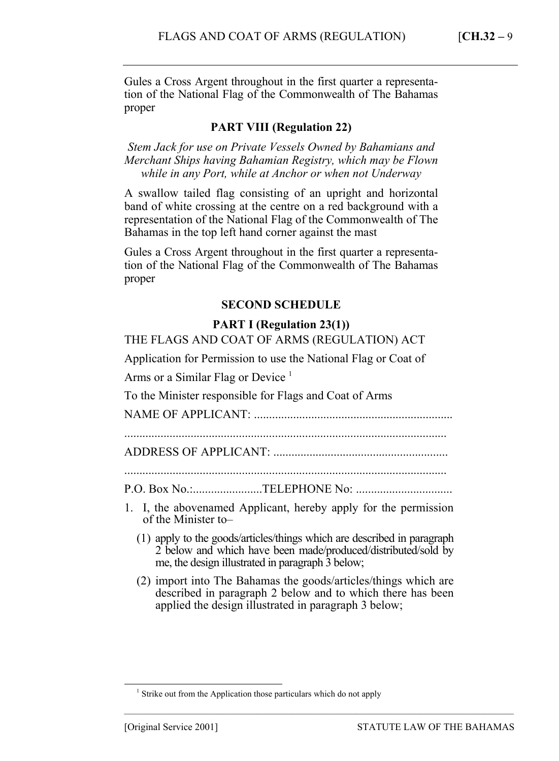Gules a Cross Argent throughout in the first quarter a representation of the National Flag of the Commonwealth of The Bahamas proper

# **PART VIII (Regulation 22)**

*Stem Jack for use on Private Vessels Owned by Bahamians and Merchant Ships having Bahamian Registry, which may be Flown while in any Port, while at Anchor or when not Underway* 

A swallow tailed flag consisting of an upright and horizontal band of white crossing at the centre on a red background with a representation of the National Flag of the Commonwealth of The Bahamas in the top left hand corner against the mast

Gules a Cross Argent throughout in the first quarter a representation of the National Flag of the Commonwealth of The Bahamas proper

# **SECOND SCHEDULE**

# **PART I (Regulation 23(1))**

THE FLAGS AND COAT OF ARMS (REGULATION) ACT

Application for Permission to use the National Flag or Coat of

Arms or a Similar Flag or Device  $<sup>1</sup>$ </sup>

To the Minister responsible for Flags and Coat of Arms

NAME OF APPLICANT: ..................................................................

ADDRESS OF APPLICANT: ..........................................................

P.O. Box No.:.......................TELEPHONE No: ..............................

- 1. I, the abovenamed Applicant, hereby apply for the permission of the Minister to–
	- (1) apply to the goods/articles/things which are described in paragraph 2 below and which have been made/produced/distributed/sold by me, the design illustrated in paragraph 3 below;
	- (2) import into The Bahamas the goods/articles/things which are described in paragraph 2 below and to which there has been applied the design illustrated in paragraph 3 below;

–––––––––––––––––––––––––––––––––––––––––––––––––––––––––––––––––––––––––––––––

 $\overline{\phantom{0}}$ <sub>1</sub>  $\frac{1}{1}$  Strike out from the Application those particulars which do not apply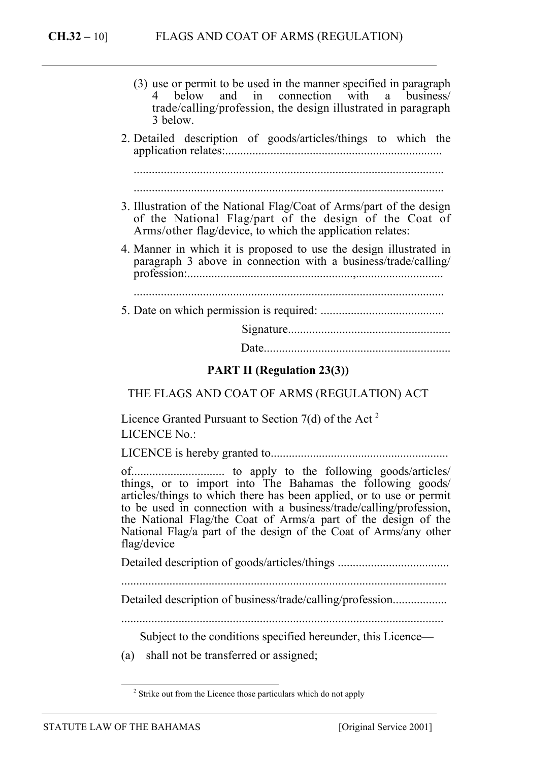| (3) use or permit to be used in the manner specified in paragraph<br>4 below and in connection with a business/<br>trade/calling/profession, the design illustrated in paragraph<br>3 below. |
|----------------------------------------------------------------------------------------------------------------------------------------------------------------------------------------------|
| 2. Detailed description of goods/articles/things to which the                                                                                                                                |
|                                                                                                                                                                                              |
|                                                                                                                                                                                              |
| 3. Illustration of the National Flag/Coat of Arms/part of the design<br>of the National Flag/part of the design of the Coat of<br>Arms/other flag/device, to which the application relates:  |
| 4. Manner in which it is proposed to use the design illustrated in<br>paragraph 3 above in connection with a business/trade/calling/                                                         |
|                                                                                                                                                                                              |
|                                                                                                                                                                                              |
|                                                                                                                                                                                              |
|                                                                                                                                                                                              |
| <b>PART II (Regulation 23(3))</b>                                                                                                                                                            |

THE FLAGS AND COAT OF ARMS (REGULATION) ACT

Licence Granted Pursuant to Section  $7(d)$  of the Act<sup>2</sup> LICENCE No.:

LICENCE is hereby granted to...........................................................

of............................... to apply to the following goods/articles/ things, or to import into The Bahamas the following goods/ articles/things to which there has been applied, or to use or permit to be used in connection with a business/trade/calling/profession, the National Flag/the Coat of Arms/a part of the design of the National Flag/a part of the design of the Coat of Arms/any other flag/device

Detailed description of goods/articles/things .....................................

............................................................................................................

Detailed description of business/trade/calling/profession........................

...........................................................................................................

Subject to the conditions specified hereunder, this Licence—

(a) shall not be transferred or assigned;

<sup>&</sup>lt;sup>2</sup> Strike out from the Licence those particulars which do not apply